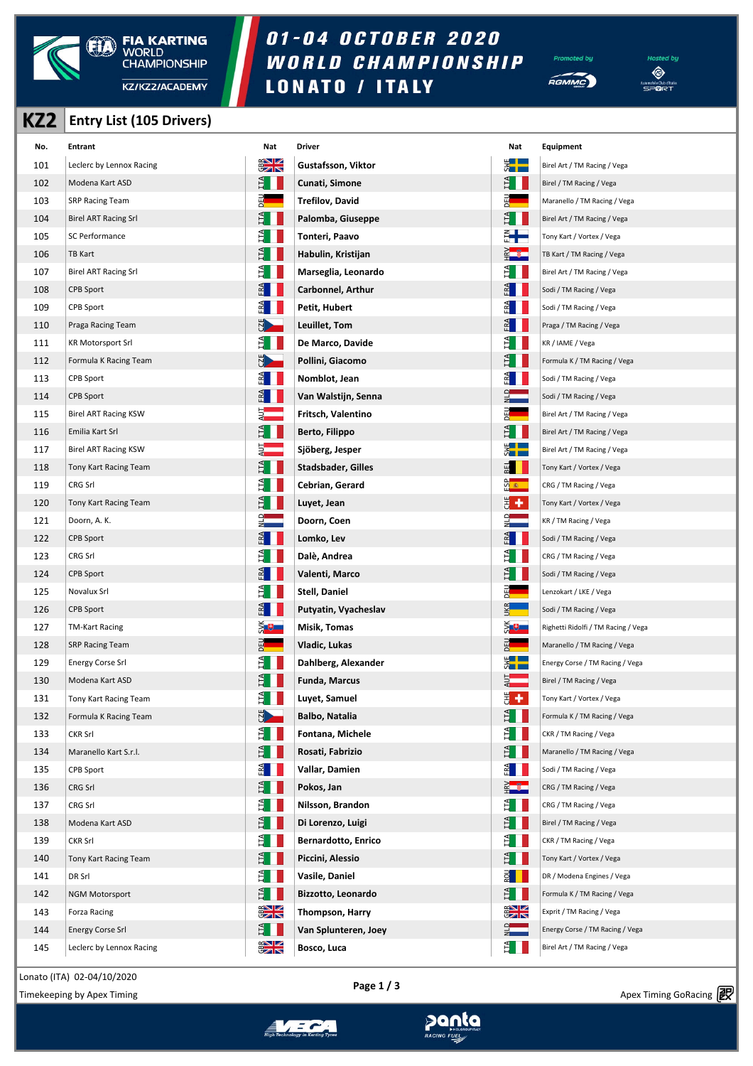

## 01-04 OCTOBER 2020 WORLD CHAMPIONSHIP **LONATO / ITALY**





| KZ <sub>2</sub> | <b>Entry List (105 Drivers)</b> |                    |                            |                    |                                     |
|-----------------|---------------------------------|--------------------|----------------------------|--------------------|-------------------------------------|
| No.             | <b>Entrant</b>                  | Nat                | <b>Driver</b>              | Nat                | Equipment                           |
| 101             | Leclerc by Lennox Racing        | $\frac{2}{3}$      | Gustafsson, Viktor         | $\frac{1}{2}$      | Birel Art / TM Racing / Vega        |
| 102             | Modena Kart ASD                 | Ê II.              | Cunati, Simone             | Ê II.              | Birel / TM Racing / Vega            |
| 103             | <b>SRP Racing Team</b>          | 펢                  | <b>Trefilov, David</b>     | $\frac{E}{\Delta}$ | Maranello / TM Racing / Vega        |
| 104             | <b>Birel ART Racing Srl</b>     | $\mathbb{H}$       | Palomba, Giuseppe          | $H_{\rm H}$        | Birel Art / TM Racing / Vega        |
| 105             | SC Performance                  | È.                 | Tonteri, Paavo             | ┋╋═                | Tony Kart / Vortex / Vega           |
| 106             | <b>TB Kart</b>                  | Ĕ                  | Habulin, Kristijan         | $\frac{2}{1}$      | TB Kart / TM Racing / Vega          |
| 107             | <b>Birel ART Racing Srl</b>     | E.                 | Marseglia, Leonardo        | Ê II.              | Birel Art / TM Racing / Vega        |
| 108             | <b>CPB Sport</b>                | $E^{\mathbf{A}}$   | Carbonnel, Arthur          | E                  | Sodi / TM Racing / Vega             |
| 109             | <b>CPB Sport</b>                | $\mathbb{E}$       | Petit, Hubert              | $rac{1}{2}$        | Sodi / TM Racing / Vega             |
| 110             | Praga Racing Team               |                    | Leuillet, Tom              | E                  | Praga / TM Racing / Vega            |
| 111             | <b>KR Motorsport Srl</b>        | È.                 | De Marco, Davide           | E I                | KR / IAME / Vega                    |
| 112             | Formula K Racing Team           | 5                  | Pollini, Giacomo           | É II               | Formula K / TM Racing / Vega        |
| 113             | CPB Sport                       | $rac{1}{2}$        | Nomblot, Jean              | $rac{1}{2}$        | Sodi / TM Racing / Vega             |
| 114             | <b>CPB Sport</b>                | E                  | Van Walstijn, Senna        | $\frac{1}{2}$      | Sodi / TM Racing / Vega             |
| 115             | <b>Birel ART Racing KSW</b>     |                    | Fritsch, Valentino         |                    | Birel Art / TM Racing / Vega        |
| 116             | Emilia Kart Srl                 | $H_{\rm H}$        | Berto, Filippo             | $H^{\mathbf{A}}$   | Birel Art / TM Racing / Vega        |
| 117             | <b>Birel ART Racing KSW</b>     | ₹                  | Sjöberg, Jesper            | $rac{1}{2}$        | Birel Art / TM Racing / Vega        |
| 118             | Tony Kart Racing Team           |                    | <b>Stadsbader, Gilles</b>  | $\overline{a}$     | Tony Kart / Vortex / Vega           |
| 119             | CRG Srl                         |                    | Cebrian, Gerard            | <u>ကို နွ</u> ေ    | CRG / TM Racing / Vega              |
| 120             | Tony Kart Racing Team           | E.                 | Luyet, Jean                | ₩,                 | Tony Kart / Vortex / Vega           |
| 121             | Doorn, A. K.                    |                    | Doorn, Coen                |                    | KR / TM Racing / Vega               |
| 122             | <b>CPB Sport</b>                | E                  | Lomko, Lev                 | ERA                | Sodi / TM Racing / Vega             |
| 123             | CRG Srl                         | ÈI                 | Dalè, Andrea               | E I                | CRG / TM Racing / Vega              |
| 124             | <b>CPB Sport</b>                | ER4                | Valenti, Marco             | Ê II.              | Sodi / TM Racing / Vega             |
| 125             | Novalux Srl                     | $H_{\rm H}$        | Stell, Daniel              | $\mathbb{E}$       | Lenzokart / LKE / Vega              |
| 126             | <b>CPB Sport</b>                | $E^2$              | Putyatin, Vyacheslav       | ukr<br>—           | Sodi / TM Racing / Vega             |
| 127             | <b>TM-Kart Racing</b>           | $\geq$ $+$         | Misik, Tomas               | ⋚⋪                 | Righetti Ridolfi / TM Racing / Vega |
| 128             | <b>SRP Racing Team</b>          |                    | Vladic, Lukas              | 몙                  | Maranello / TM Racing / Vega        |
| 129             | <b>Energy Corse Srl</b>         | F.                 | Dahlberg, Alexander        | ⋚▕▊                | Energy Corse / TM Racing / Vega     |
| 130             | Modena Kart ASD                 | F.<br>▅▊▊▊         | <b>Funda, Marcus</b>       | $rac{1}{2}$        | Birel / TM Racing / Vega            |
| 131             | Tony Kart Racing Team           | Ê                  | Luyet, Samuel              | ₩,                 | Tony Kart / Vortex / Vega           |
| 132             | Formula K Racing Team           | <u>U</u>           | Balbo, Natalia             | E I I              | Formula K / TM Racing / Vega        |
| 133             | CKR Srl                         | É                  | Fontana, Michele           | É I                | CKR / TM Racing / Vega              |
| 134             | Maranello Kart S.r.l.           | Ê II.              | Rosati, Fabrizio           | Ê II.              | Maranello / TM Racing / Vega        |
| 135             | CPB Sport                       | $rac{A}{\sqrt{2}}$ | Vallar, Damien             | $rac{a}{b}$        | Sodi / TM Racing / Vega             |
| 136             | CRG Srl                         | $H_{\rm H}$        | Pokos, Jan                 | $\frac{2}{1}$      | CRG / TM Racing / Vega              |
| 137             | CRG Srl                         | E.<br>н            | Nilsson, Brandon           | Ê II.              | CRG / TM Racing / Vega              |
| 138             | Modena Kart ASD                 | H                  | Di Lorenzo, Luigi          | E I                | Birel / TM Racing / Vega            |
| 139             | <b>CKR Srl</b>                  | $E_{\rm I}$        | <b>Bernardotto, Enrico</b> | E I I              | CKR / TM Racing / Vega              |
| 140             | Tony Kart Racing Team           | $H_{\rm H}$        | Piccini, Alessio           | Ê II.              | Tony Kart / Vortex / Vega           |
| 141             | DR Srl                          | E I I              | Vasile, Daniel             | <u>ទ្ទី     </u>   | DR / Modena Engines / Vega          |
| 142             | <b>NGM Motorsport</b>           | $E_{\rm H}$        | Bizzotto, Leonardo         | E.                 | Formula K / TM Racing / Vega        |
| 143             | Forza Racing                    | $\frac{1}{2}$      | Thompson, Harry            | $\frac{1}{2}$      | Exprit / TM Racing / Vega           |

| LL. | Entry List (105 Drivers)    |               |                            |                      |                                     |
|-----|-----------------------------|---------------|----------------------------|----------------------|-------------------------------------|
| No. | Entrant                     | Nat           | Driver                     | Nat                  | Equipment                           |
| 101 | Leclerc by Lennox Racing    | $\frac{1}{2}$ | Gustafsson, Viktor         | E                    | Birel Art / TM Racing / Vega        |
| 102 | Modena Kart ASD             | Ê I           | Cunati, Simone             | Ê I I                | Birel / TM Racing / Vega            |
| 103 | <b>SRP Racing Team</b>      |               | Trefilov, David            | $\frac{1}{2}$        | Maranello / TM Racing / Vega        |
| 104 | <b>Birel ART Racing Srl</b> | E I           | Palomba, Giuseppe          | E I I                | Birel Art / TM Racing / Vega        |
| 105 | SC Performance              | Ê I I         | Tonteri, Paavo             | ▓╋═                  | Tony Kart / Vortex / Vega           |
| 106 | TB Kart                     | E I           | Habulin, Kristijan         | $rac{2}{\pm}$        | TB Kart / TM Racing / Vega          |
| 107 | <b>Birel ART Racing Srl</b> | É I           | Marseglia, Leonardo        | É II                 | Birel Art / TM Racing / Vega        |
| 108 | <b>CPB Sport</b>            | E             | Carbonnel, Arthur          | ERA                  | Sodi / TM Racing / Vega             |
| 109 | CPB Sport                   | $rac{1}{2}$   | Petit, Hubert              | E                    | Sodi / TM Racing / Vega             |
| 110 | Praga Racing Team           | <u>U</u>      | Leuillet, Tom              | $E =$                | Praga / TM Racing / Vega            |
| 111 | KR Motorsport Srl           | Ê I           | De Marco, Davide           | Ê I I                | KR / IAME / Vega                    |
| 112 | Formula K Racing Team       | $\mathbb{E}$  | Pollini, Giacomo           | E I                  | Formula K / TM Racing / Vega        |
| 113 | CPB Sport                   | E             | Nomblot, Jean              | E                    | Sodi / TM Racing / Vega             |
| 114 | CPB Sport                   | E             | Van Walstijn, Senna        | $\frac{1}{2}$        | Sodi / TM Racing / Vega             |
| 115 | <b>Birel ART Racing KSW</b> | $\frac{1}{2}$ | Fritsch, Valentino         | $\frac{1}{2}$        | Birel Art / TM Racing / Vega        |
| 116 | Emilia Kart Srl             | E I I         | Berto, Filippo             | E I                  | Birel Art / TM Racing / Vega        |
| 117 | <b>Birel ART Racing KSW</b> | ₹             | Sjöberg, Jesper            | ▓██                  | Birel Art / TM Racing / Vega        |
| 118 | Tony Kart Racing Team       | E I           | Stadsbader, Gilles         | $\overline{a}$       | Tony Kart / Vortex / Vega           |
| 119 | CRG Srl                     | É II          | Cebrian, Gerard            | <u>ထိုးေ</u>         | CRG / TM Racing / Vega              |
| 120 | Tony Kart Racing Team       | E I           | Luyet, Jean                | ₩,                   | Tony Kart / Vortex / Vega           |
| 121 | Doorn, A. K.                | $\frac{1}{2}$ | Doorn, Coen                | $\frac{1}{2}$        | KR / TM Racing / Vega               |
| 122 | CPB Sport                   | E             | Lomko, Lev                 | $E_{\text{R}}$       | Sodi / TM Racing / Vega             |
| 123 | CRG Srl                     | É I           | Dalè, Andrea               | E I I                | CRG / TM Racing / Vega              |
| 124 | CPB Sport                   | E             | Valenti, Marco             | E I                  | Sodi / TM Racing / Vega             |
| 125 | Novalux Srl                 | Ê I           | Stell, Daniel              | $\frac{1}{2}$        | Lenzokart / LKE / Vega              |
| 126 | CPB Sport                   | E             | Putyatin, Vyacheslav       |                      | Sodi / TM Racing / Vega             |
| 127 | TM-Kart Racing              | ॅू ⊕          | Misik, Tomas               | ⋚⋪                   | Righetti Ridolfi / TM Racing / Vega |
| 128 | <b>SRP Racing Team</b>      | 逝             | Vladic, Lukas              | 레                    | Maranello / TM Racing / Vega        |
| 129 | Energy Corse Srl            | Ê II          | Dahlberg, Alexander        | $\frac{1}{2}$        | Energy Corse / TM Racing / Vega     |
| 130 | Modena Kart ASD             | ЕÍ            | <b>Funda, Marcus</b>       | EL<br>A              | Birel / TM Racing / Vega            |
| 131 | Tony Kart Racing Team       | E I           | Luyet, Samuel              | 5 +                  | Tony Kart / Vortex / Vega           |
| 132 | Formula K Racing Team       | 5             | Balbo, Natalia             | E I                  | Formula K / TM Racing / Vega        |
| 133 | CKR Srl                     | ÉП            | Fontana, Michele           | E I                  | CKR / TM Racing / Vega              |
| 134 | Maranello Kart S.r.l.       | E I           | Rosati, Fabrizio           | E I                  | Maranello / TM Racing / Vega        |
| 135 | CPB Sport                   | E             | Vallar, Damien             | $E = \frac{1}{2}$    | Sodi / TM Racing / Vega             |
| 136 | CRG Srl                     | E I           | Pokos, Jan                 | $rac{2}{2}$          | CRG / TM Racing / Vega              |
| 137 | CRG Srl                     | Ê I I         | Nilsson, Brandon           | ÊH                   | CRG / TM Racing / Vega              |
| 138 | Modena Kart ASD             | E I           | Di Lorenzo, Luigi          | E I I                | Birel / TM Racing / Vega            |
| 139 | CKR Srl                     | ÉП            | <b>Bernardotto, Enrico</b> | ÉП                   | CKR / TM Racing / Vega              |
| 140 | Tony Kart Racing Team       | EI            | Piccini, Alessio           | E I                  | Tony Kart / Vortex / Vega           |
| 141 | DR Srl                      | E I           | Vasile, Daniel             | $\frac{5}{2}$ $\Box$ | DR / Modena Engines / Vega          |
| 142 | <b>NGM Motorsport</b>       | $H^2$         | Bizzotto, Leonardo         | $H^2$                | Formula K / TM Racing / Vega        |
| 143 | Forza Racing                | $\frac{1}{2}$ | Thompson, Harry            | $\frac{1}{2}$        | Exprit / TM Racing / Vega           |
| 144 | <b>Energy Corse Srl</b>     | E I           | Van Splunteren, Joey       | $\frac{1}{2}$        | Energy Corse / TM Racing / Vega     |
| 145 | Leclerc by Lennox Racing    | $\frac{1}{2}$ | Bosco, Luca                | E                    | Birel Art / TM Racing / Vega        |

Lonato (ITA) 02-04/10/2020

Apex Timing - timing solutions and services https://www.apex-timing.com/

**Page 1 / 3**



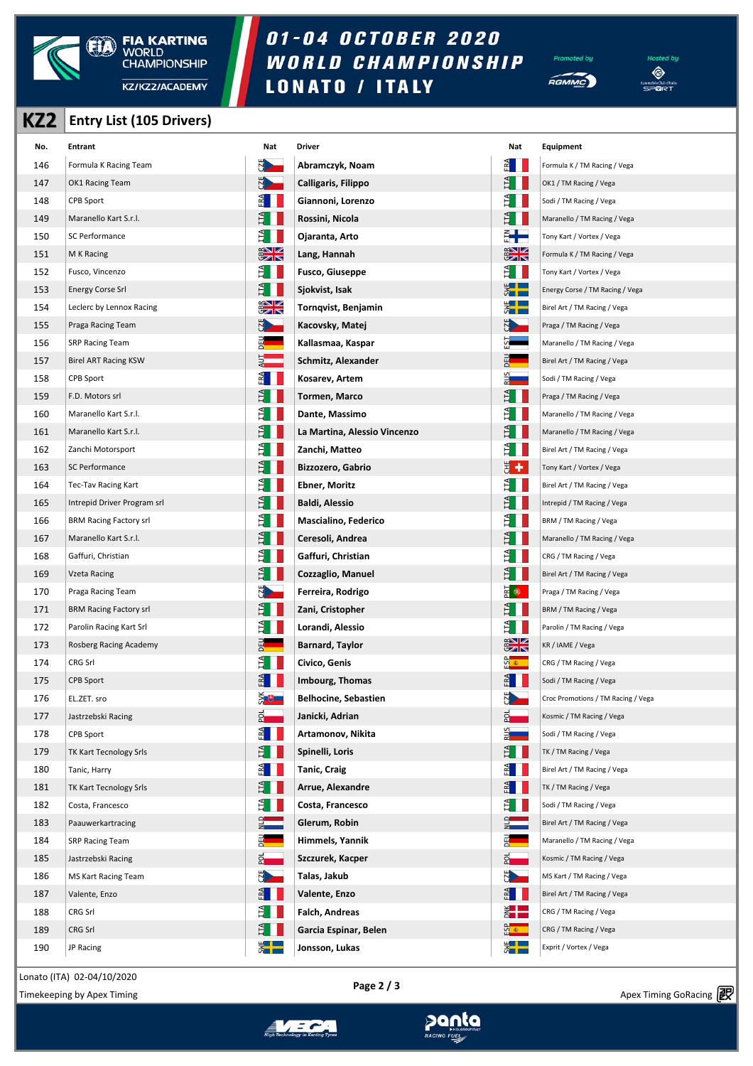

## 01-04 OCTOBER 2020 WORLD CHAMPIONSHIP **LONATO / ITALY**





**KZ2 Entry List (105 Drivers)**

| No. | Entrant                       | Nat             | <b>Driver</b>                | Nat                    | Equipment                          |
|-----|-------------------------------|-----------------|------------------------------|------------------------|------------------------------------|
| 146 | Formula K Racing Team         | N A             | Abramczyk, Noam              | $rac{1}{2}$            | Formula K / TM Racing / Vega       |
| 147 | OK1 Racing Team               | N <sub>2</sub>  | Calligaris, Filippo          | FL                     | OK1 / TM Racing / Vega             |
| 148 | CPB Sport                     | $rac{1}{2}$     | Giannoni, Lorenzo            |                        | Sodi / TM Racing / Vega            |
| 149 | Maranello Kart S.r.l.         |                 | Rossini, Nicola              |                        | Maranello / TM Racing / Vega       |
| 150 | SC Performance                | Ê I             | Ojaranta, Arto               | 2  <br>5               | Tony Kart / Vortex / Vega          |
| 151 | M K Racing                    | $rac{2}{3}$     | Lang, Hannah                 | $rac{1}{2}$            | Formula K / TM Racing / Vega       |
| 152 | Fusco, Vincenzo               | E I             | <b>Fusco, Giuseppe</b>       | È III                  | Tony Kart / Vortex / Vega          |
| 153 | <b>Energy Corse Srl</b>       | E I             | Sjokvist, Isak               | $rac{1}{2}$            | Energy Corse / TM Racing / Vega    |
| 154 | Leclerc by Lennox Racing      | $rac{1}{2}$     | Tornqvist, Benjamin          | $rac{1}{2}$            | Birel Art / TM Racing / Vega       |
| 155 | Praga Racing Team             |                 | Kacovsky, Matej              |                        | Praga / TM Racing / Vega           |
| 156 | <b>SRP Racing Team</b>        |                 | Kallasmaa, Kaspar            |                        | Maranello / TM Racing / Vega       |
| 157 | <b>Birel ART Racing KSW</b>   |                 | Schmitz, Alexander           |                        | Birel Art / TM Racing / Vega       |
| 158 | CPB Sport                     | A I             | Kosarev, Artem               |                        | Sodi / TM Racing / Vega            |
| 159 | F.D. Motors srl               | Ê II            | Tormen, Marco                | Ĕ                      | Praga / TM Racing / Vega           |
| 160 | Maranello Kart S.r.l.         |                 | Dante, Massimo               |                        | Maranello / TM Racing / Vega       |
| 161 | Maranello Kart S.r.l.         |                 | La Martina, Alessio Vincenzo |                        | Maranello / TM Racing / Vega       |
| 162 | Zanchi Motorsport             | ET I            | Zanchi, Matteo               | E.<br>11               | Birel Art / TM Racing / Vega       |
| 163 | SC Performance                |                 | Bizzozero, Gabrio            | 뵈<br>÷                 | Tony Kart / Vortex / Vega          |
| 164 | Tec-Tav Racing Kart           | θ.              | Ebner, Moritz                | Đ                      | Birel Art / TM Racing / Vega       |
| 165 | Intrepid Driver Program srl   | Ê I             | <b>Baldi, Alessio</b>        | Ĕ                      | Intrepid / TM Racing / Vega        |
| 166 | <b>BRM Racing Factory srl</b> |                 | Mascialino, Federico         |                        | BRM / TM Racing / Vega             |
| 167 | Maranello Kart S.r.l.         |                 | Ceresoli, Andrea             |                        | Maranello / TM Racing / Vega       |
| 168 | Gaffuri, Christian            | ET I            | Gaffuri, Christian           |                        | CRG / TM Racing / Vega             |
| 169 | Vzeta Racing                  |                 | Cozzaglio, Manuel            | Ě                      | Birel Art / TM Racing / Vega       |
| 170 | Praga Racing Team             |                 | Ferreira, Rodrigo            | $\mathbb{R}^{\bullet}$ | Praga / TM Racing / Vega           |
| 171 | <b>BRM Racing Factory srl</b> | ÈII             | Zani, Cristopher             | Ĕ                      | BRM / TM Racing / Vega             |
| 172 | Parolin Racing Kart Srl       |                 | Lorandi, Alessio             |                        | Parolin / TM Racing / Vega         |
| 173 | Rosberg Racing Academy        |                 | <b>Barnard, Taylor</b>       | $rac{1}{2}$            | KR / IAME / Vega                   |
| 174 | CRG Srl                       | E I             | Civico, Genis                | <u>ထို ေ</u>           | CRG / TM Racing / Vega             |
| 175 | <b>CPB Sport</b>              | P¥              | <b>Imbourg, Thomas</b>       | ERA                    | Sodi / TM Racing / Vega            |
| 176 | EL.ZET. sro                   | ⋚⋓              | <b>Belhocine, Sebastien</b>  |                        | Croc Promotions / TM Racing / Vega |
| 177 | Jastrzebski Racing            | $2^{\sim}$      | Janicki, Adrian              | 와.                     | Kosmic / TM Racing / Vega          |
| 178 | CPB Sport                     | <sup>2</sup> ∎  | Artamonov, Nikita            |                        | Sodi / TM Racing / Vega            |
| 179 | TK Kart Tecnology Srls        | È II            | Spinelli, Loris              |                        | TK / TM Racing / Vega              |
| 180 | Tanic, Harry                  | $\frac{2}{\pi}$ | <b>Tanic, Craig</b>          | 桶 III                  | Birel Art / TM Racing / Vega       |
| 181 | TK Kart Tecnology Srls        | Ê II            | Arrue, Alexandre             | 톄                      | TK / TM Racing / Vega              |
| 182 | Costa, Francesco              | E I I           | Costa, Francesco             |                        | Sodi / TM Racing / Vega            |
| 183 | Paauwerkartracing             |                 | Glerum, Robin                |                        | Birel Art / TM Racing / Vega       |
| 184 | <b>SRP Racing Team</b>        |                 | Himmels, Yannik              |                        | Maranello / TM Racing / Vega       |
| 185 | Jastrzebski Racing            | 압               | Szczurek, Kacper             | 2                      | Kosmic / TM Racing / Vega          |
| 186 | MS Kart Racing Team           |                 | Talas, Jakub                 | N <sub>2</sub>         | MS Kart / TM Racing / Vega         |
| 187 | Valente, Enzo                 |                 | Valente, Enzo                | 레                      | Birel Art / TM Racing / Vega       |
| 188 | CRG Srl                       | ÈII             | Falch, Andreas               | ž <b>ko</b>            | CRG / TM Racing / Vega             |
| 189 | CRG Srl                       | Ê I             | Garcia Espinar, Belen        | <mark>ទី ៖</mark>      | CRG / TM Racing / Vega             |
| 190 | JP Racing                     | E               | Jonsson, Lukas               | E<br>S                 | Exprit / Vortex / Vega             |

Lonato (ITA) 02-04/10/2020

Apex Timing - timing solutions and services https://www.apex-timing.com/



≫anta